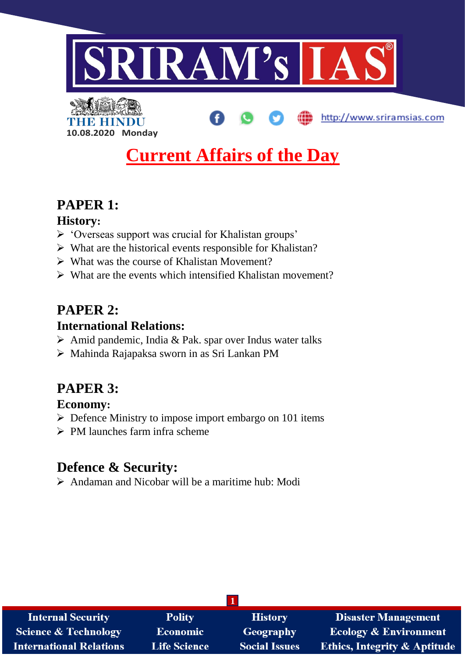

http://www.sriramsias.com



# **Current Affairs of the Day**

# **PAPER 1:**

## **History:**

- 'Overseas support was crucial for Khalistan groups'
- $\triangleright$  What are the historical events responsible for Khalistan?
- $\triangleright$  What was the course of Khalistan Movement?
- $\triangleright$  What are the events which intensified Khalistan movement?

# **PAPER 2:**

# **International Relations:**

- $\triangleright$  Amid pandemic, India & Pak. spar over Indus water talks
- Mahinda Rajapaksa sworn in as Sri Lankan PM

# **PAPER 3:**

## **Economy:**

- $\triangleright$  Defence Ministry to impose import embargo on 101 items
- $\triangleright$  PM launches farm infra scheme

# **Defence & Security:**

 $\triangleright$  Andaman and Nicobar will be a maritime hub: Modi

| <b>Internal Security</b>        | <b>Polity</b>       | <b>History</b>       | <b>Disaster Management</b>              |  |
|---------------------------------|---------------------|----------------------|-----------------------------------------|--|
| <b>Science &amp; Technology</b> | <b>Economic</b>     | Geography            | <b>Ecology &amp; Environment</b>        |  |
| <b>International Relations</b>  | <b>Life Science</b> | <b>Social Issues</b> | <b>Ethics, Integrity &amp; Aptitude</b> |  |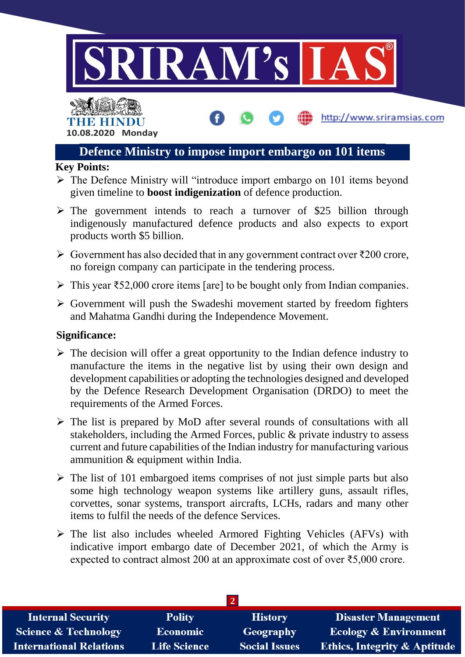



# **Defence Ministry to impose import embargo on 101 items**

http://www.sriramsias.com

### **Key Points:**

- $\triangleright$  The Defence Ministry will "introduce import embargo on 101 items beyond given timeline to **boost indigenization** of defence production.
- $\triangleright$  The government intends to reach a turnover of \$25 billion through indigenously manufactured defence products and also expects to export products worth \$5 billion.
- $\triangleright$  Government has also decided that in any government contract over  $\bar{\ell}200$  crore, no foreign company can participate in the tendering process.
- $\triangleright$  This year ₹52,000 crore items [are] to be bought only from Indian companies.
- $\triangleright$  Government will push the Swadeshi movement started by freedom fighters and Mahatma Gandhi during the Independence Movement.

### **Significance:**

- $\triangleright$  The decision will offer a great opportunity to the Indian defence industry to manufacture the items in the negative list by using their own design and development capabilities or adopting the technologies designed and developed by the Defence Research Development Organisation (DRDO) to meet the requirements of the Armed Forces.
- $\triangleright$  The list is prepared by MoD after several rounds of consultations with all stakeholders, including the Armed Forces, public & private industry to assess current and future capabilities of the Indian industry for manufacturing various ammunition & equipment within India.
- $\triangleright$  The list of 101 embargoed items comprises of not just simple parts but also some high technology weapon systems like artillery guns, assault rifles, corvettes, sonar systems, transport aircrafts, LCHs, radars and many other items to fulfil the needs of the defence Services.
- $\triangleright$  The list also includes wheeled Armored Fighting Vehicles (AFVs) with indicative import embargo date of December 2021, of which the Army is expected to contract almost 200 at an approximate cost of over ₹5,000 crore.

| <b>Internal Security</b>        | <b>Polity</b>       | <b>History</b>       | <b>Disaster Management</b>              |  |
|---------------------------------|---------------------|----------------------|-----------------------------------------|--|
| <b>Science &amp; Technology</b> | <b>Economic</b>     | Geography            | <b>Ecology &amp; Environment</b>        |  |
| <b>International Relations</b>  | <b>Life Science</b> | <b>Social Issues</b> | <b>Ethics, Integrity &amp; Aptitude</b> |  |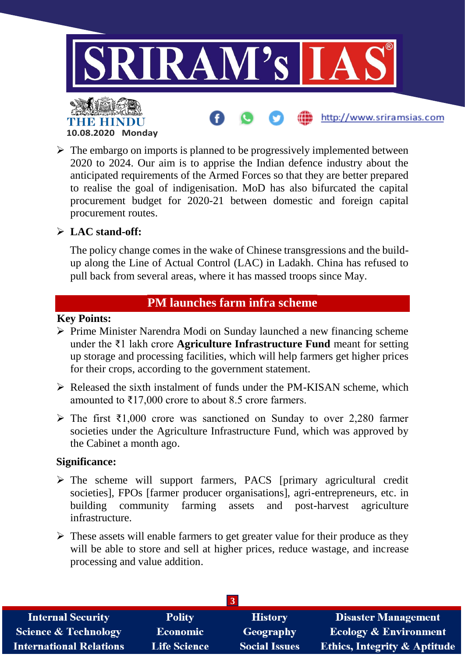

 $\triangleright$  The embargo on imports is planned to be progressively implemented between 2020 to 2024. Our aim is to apprise the Indian defence industry about the anticipated requirements of the Armed Forces so that they are better prepared to realise the goal of indigenisation. MoD has also bifurcated the capital procurement budget for 2020-21 between domestic and foreign capital procurement routes.

### **LAC stand-off:**

The policy change comes in the wake of Chinese transgressions and the buildup along the Line of Actual Control (LAC) in Ladakh. China has refused to pull back from several areas, where it has massed troops since May.

## **PM launches farm infra scheme**

#### **Key Points:**

- $\triangleright$  Prime Minister Narendra Modi on Sunday launched a new financing scheme under the ₹1 lakh crore **Agriculture Infrastructure Fund** meant for setting up storage and processing facilities, which will help farmers get higher prices for their crops, according to the government statement.
- $\triangleright$  Released the sixth instalment of funds under the PM-KISAN scheme, which amounted to  $\overline{517,000}$  crore to about 8.5 crore farmers.
- $\triangleright$  The first ₹1,000 crore was sanctioned on Sunday to over 2,280 farmer societies under the Agriculture Infrastructure Fund, which was approved by the Cabinet a month ago.

### **Significance:**

- $\triangleright$  The scheme will support farmers, PACS [primary agricultural credit societies], FPOs [farmer producer organisations], agri-entrepreneurs, etc. in building community farming assets and post-harvest agriculture infrastructure.
- $\triangleright$  These assets will enable farmers to get greater value for their produce as they will be able to store and sell at higher prices, reduce wastage, and increase processing and value addition.

| <b>Internal Security</b>       | <b>Polity</b>       | <b>History</b>       | <b>Disaster Management</b>              |  |
|--------------------------------|---------------------|----------------------|-----------------------------------------|--|
| Science & Technology           | <b>Economic</b>     | Geography            | <b>Ecology &amp; Environment</b>        |  |
| <b>International Relations</b> | <b>Life Science</b> | <b>Social Issues</b> | <b>Ethics, Integrity &amp; Aptitude</b> |  |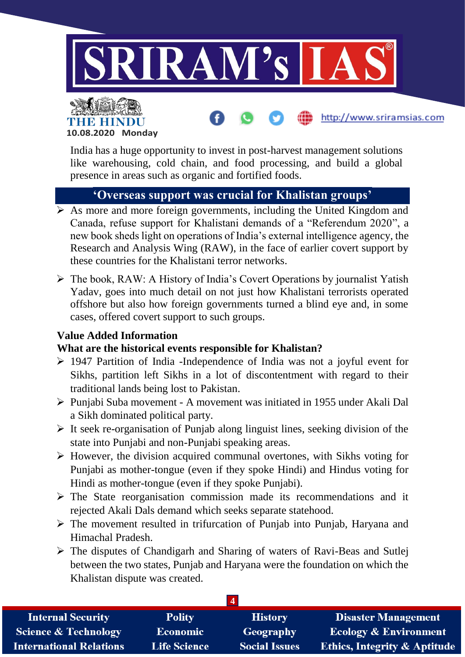

http://www.sriramsias.com



India has a huge opportunity to invest in post-harvest management solutions like warehousing, cold chain, and food processing, and build a global presence in areas such as organic and fortified foods.

## **'Overseas support was crucial for Khalistan groups'**

- $\triangleright$  As more and more foreign governments, including the United Kingdom and Canada, refuse support for Khalistani demands of a "Referendum 2020", a new book sheds light on operations of India's external intelligence agency, the Research and Analysis Wing (RAW), in the face of earlier covert support by these countries for the Khalistani terror networks.
- $\triangleright$  The book, RAW: A History of India's Covert Operations by journalist Yatish Yadav, goes into much detail on not just how Khalistani terrorists operated offshore but also how foreign governments turned a blind eye and, in some cases, offered covert support to such groups.

## **Value Added Information**

### **What are the historical events responsible for Khalistan?**

- 1947 Partition of India -Independence of India was not a joyful event for Sikhs, partition left Sikhs in a lot of discontentment with regard to their traditional lands being lost to Pakistan.
- Punjabi Suba movement A movement was initiated in 1955 under Akali Dal a Sikh dominated political party.
- $\triangleright$  It seek re-organisation of Punjab along linguist lines, seeking division of the state into Punjabi and non-Punjabi speaking areas.
- $\triangleright$  However, the division acquired communal overtones, with Sikhs voting for Punjabi as mother-tongue (even if they spoke Hindi) and Hindus voting for Hindi as mother-tongue (even if they spoke Punjabi).
- $\triangleright$  The State reorganisation commission made its recommendations and it rejected Akali Dals demand which seeks separate statehood.
- $\triangleright$  The movement resulted in trifurcation of Punjab into Punjab, Haryana and Himachal Pradesh.
- The disputes of Chandigarh and Sharing of waters of Ravi-Beas and Sutlej between the two states, Punjab and Haryana were the foundation on which the Khalistan dispute was created.

| <b>Internal Security</b>        | <b>Polity</b>       | <b>History</b>       | <b>Disaster Management</b>              |
|---------------------------------|---------------------|----------------------|-----------------------------------------|
| <b>Science &amp; Technology</b> | <b>Economic</b>     | Geography            | <b>Ecology &amp; Environment</b>        |
| <b>International Relations</b>  | <b>Life Science</b> | <b>Social Issues</b> | <b>Ethics, Integrity &amp; Aptitude</b> |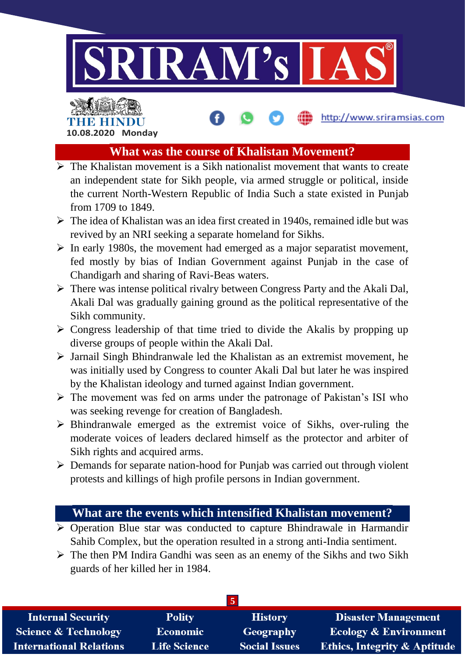

# 4 NEI REELI **10.08.2020 Monday**

### **What was the course of Khalistan Movement?**

http://www.sriramsias.com

- $\triangleright$  The Khalistan movement is a Sikh nationalist movement that wants to create an independent state for Sikh people, via armed struggle or political, inside the current North-Western Republic of India Such a state existed in Punjab from 1709 to 1849.
- $\triangleright$  The idea of Khalistan was an idea first created in 1940s, remained idle but was revived by an NRI seeking a separate homeland for Sikhs.
- $\triangleright$  In early 1980s, the movement had emerged as a major separatist movement, fed mostly by bias of Indian Government against Punjab in the case of Chandigarh and sharing of Ravi-Beas waters.
- $\triangleright$  There was intense political rivalry between Congress Party and the Akali Dal, Akali Dal was gradually gaining ground as the political representative of the Sikh community.
- $\triangleright$  Congress leadership of that time tried to divide the Akalis by propping up diverse groups of people within the Akali Dal.
- $\triangleright$  Jarnail Singh Bhindranwale led the Khalistan as an extremist movement, he was initially used by Congress to counter Akali Dal but later he was inspired by the Khalistan ideology and turned against Indian government.
- $\triangleright$  The movement was fed on arms under the patronage of Pakistan's ISI who was seeking revenge for creation of Bangladesh.
- $\triangleright$  Bhindranwale emerged as the extremist voice of Sikhs, over-ruling the moderate voices of leaders declared himself as the protector and arbiter of Sikh rights and acquired arms.
- $\triangleright$  Demands for separate nation-hood for Punjab was carried out through violent protests and killings of high profile persons in Indian government.

## **What are the events which intensified Khalistan movement?**

- $\triangleright$  Operation Blue star was conducted to capture Bhindrawale in Harmandir Sahib Complex, but the operation resulted in a strong anti-India sentiment.
- $\triangleright$  The then PM Indira Gandhi was seen as an enemy of the Sikhs and two Sikh guards of her killed her in 1984.

| <b>Internal Security</b>        | <b>Polity</b>       | <b>History</b>       | <b>Disaster Management</b>              |  |
|---------------------------------|---------------------|----------------------|-----------------------------------------|--|
| <b>Science &amp; Technology</b> | <b>Economic</b>     | Geography            | <b>Ecology &amp; Environment</b>        |  |
| <b>International Relations</b>  | <b>Life Science</b> | <b>Social Issues</b> | <b>Ethics, Integrity &amp; Aptitude</b> |  |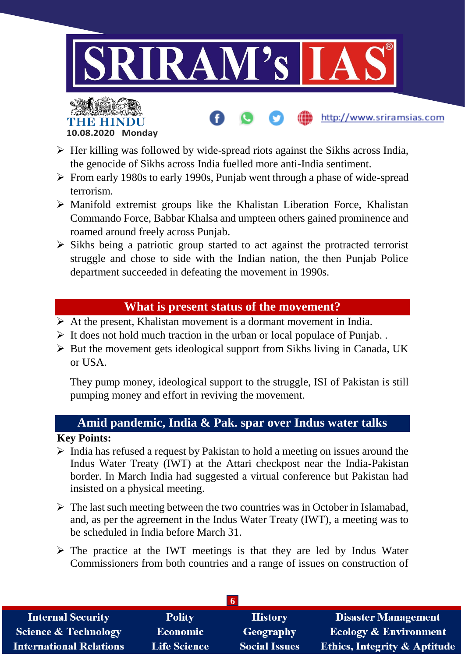

http://www.sriramsias.com



- $\triangleright$  Her killing was followed by wide-spread riots against the Sikhs across India, the genocide of Sikhs across India fuelled more anti-India sentiment.
- $\triangleright$  From early 1980s to early 1990s, Punjab went through a phase of wide-spread terrorism.
- $\triangleright$  Manifold extremist groups like the Khalistan Liberation Force, Khalistan Commando Force, Babbar Khalsa and umpteen others gained prominence and roamed around freely across Punjab.
- $\triangleright$  Sikhs being a patriotic group started to act against the protracted terrorist struggle and chose to side with the Indian nation, the then Punjab Police department succeeded in defeating the movement in 1990s.

## **What is present status of the movement?**

- $\triangleright$  At the present, Khalistan movement is a dormant movement in India.
- $\triangleright$  It does not hold much traction in the urban or local populace of Punjab..
- $\triangleright$  But the movement gets ideological support from Sikhs living in Canada, UK or USA.

They pump money, ideological support to the struggle, ISI of Pakistan is still pumping money and effort in reviving the movement.

# **Amid pandemic, India & Pak. spar over Indus water talks**

### **Key Points:**

- $\triangleright$  India has refused a request by Pakistan to hold a meeting on issues around the Indus Water Treaty (IWT) at the Attari checkpost near the India-Pakistan border. In March India had suggested a virtual conference but Pakistan had insisted on a physical meeting.
- $\triangleright$  The last such meeting between the two countries was in October in Islamabad, and, as per the agreement in the Indus Water Treaty (IWT), a meeting was to be scheduled in India before March 31.
- $\triangleright$  The practice at the IWT meetings is that they are led by Indus Water Commissioners from both countries and a range of issues on construction of

| <b>Internal Security</b>        | <b>Polity</b>       | <b>History</b>       | <b>Disaster Management</b>              |  |
|---------------------------------|---------------------|----------------------|-----------------------------------------|--|
| <b>Science &amp; Technology</b> | Economic            | Geography            | <b>Ecology &amp; Environment</b>        |  |
| <b>International Relations</b>  | <b>Life Science</b> | <b>Social Issues</b> | <b>Ethics, Integrity &amp; Aptitude</b> |  |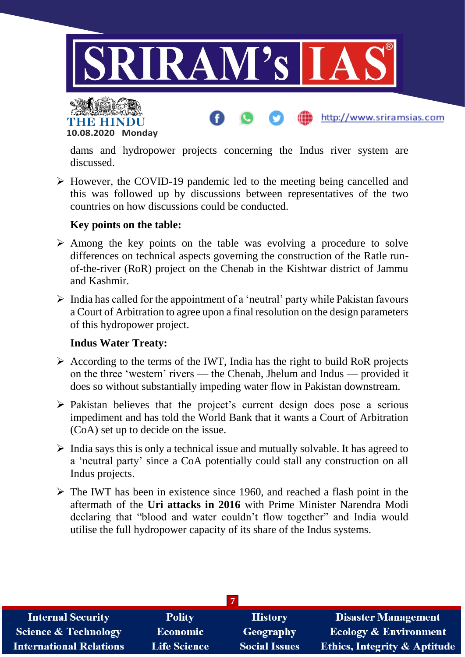



dams and hydropower projects concerning the Indus river system are discussed.

http://www.sriramsias.com

 However, the COVID-19 pandemic led to the meeting being cancelled and this was followed up by discussions between representatives of the two countries on how discussions could be conducted.

### **Key points on the table:**

- $\triangleright$  Among the key points on the table was evolving a procedure to solve differences on technical aspects governing the construction of the Ratle runof-the-river (RoR) project on the Chenab in the Kishtwar district of Jammu and Kashmir.
- $\triangleright$  India has called for the appointment of a 'neutral' party while Pakistan favours a Court of Arbitration to agree upon a final resolution on the design parameters of this hydropower project.

### **Indus Water Treaty:**

- $\triangleright$  According to the terms of the IWT, India has the right to build RoR projects on the three 'western' rivers — the Chenab, Jhelum and Indus — provided it does so without substantially impeding water flow in Pakistan downstream.
- $\triangleright$  Pakistan believes that the project's current design does pose a serious impediment and has told the World Bank that it wants a Court of Arbitration (CoA) set up to decide on the issue.
- $\triangleright$  India says this is only a technical issue and mutually solvable. It has agreed to a 'neutral party' since a CoA potentially could stall any construction on all Indus projects.
- $\triangleright$  The IWT has been in existence since 1960, and reached a flash point in the aftermath of the **Uri attacks in 2016** with Prime Minister Narendra Modi declaring that "blood and water couldn't flow together" and India would utilise the full hydropower capacity of its share of the Indus systems.

| <b>Internal Security</b>        | <b>Polity</b>       | <b>History</b>       | <b>Disaster Management</b>              |  |
|---------------------------------|---------------------|----------------------|-----------------------------------------|--|
| <b>Science &amp; Technology</b> | Economic            | Geography            | <b>Ecology &amp; Environment</b>        |  |
| <b>International Relations</b>  | <b>Life Science</b> | <b>Social Issues</b> | <b>Ethics, Integrity &amp; Aptitude</b> |  |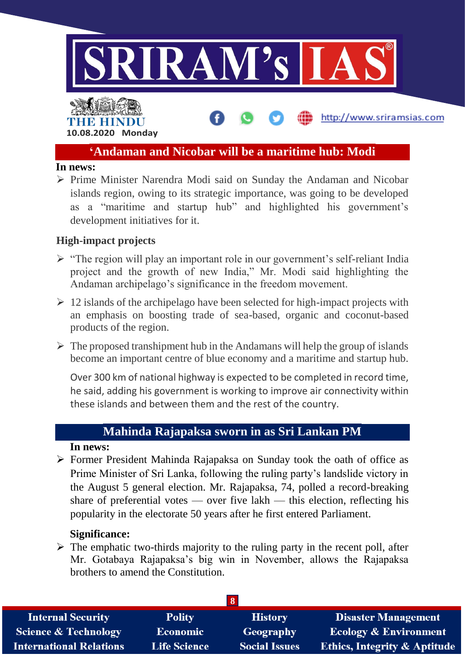

# THE HIN **10.08.2020 Monday**

## **'Andaman and Nicobar will be a maritime hub: Modi**

http://www.sriramsias.com

#### **In news:**

 $\triangleright$  Prime Minister Narendra Modi said on Sunday the Andaman and Nicobar islands region, owing to its strategic importance, was going to be developed as a "maritime and startup hub" and highlighted his government's development initiatives for it.

### **High-impact projects**

- $\triangleright$  "The region will play an important role in our government's self-reliant India project and the growth of new India," Mr. Modi said highlighting the Andaman archipelago's significance in the freedom movement.
- $\geq 12$  islands of the archipelago have been selected for high-impact projects with an emphasis on boosting trade of sea-based, organic and coconut-based products of the region.
- $\triangleright$  The proposed transhipment hub in the Andamans will help the group of islands become an important centre of blue economy and a maritime and startup hub.

Over 300 km of national highway is expected to be completed in record time, he said, adding his government is working to improve air connectivity within these islands and between them and the rest of the country.

## **Mahinda Rajapaksa sworn in as Sri Lankan PM**

### **In news:**

 Former President Mahinda Rajapaksa on Sunday took the oath of office as Prime Minister of Sri Lanka, following the ruling party's landslide victory in the August 5 general election. Mr. Rajapaksa, 74, polled a record-breaking share of preferential votes — over five lakh — this election, reflecting his popularity in the electorate 50 years after he first entered Parliament.

### **Significance:**

 $\triangleright$  The emphatic two-thirds majority to the ruling party in the recent poll, after Mr. Gotabaya Rajapaksa's big win in November, allows the Rajapaksa brothers to amend the Constitution.

| <b>Internal Security</b>        | <b>Polity</b>       | <b>History</b>       | <b>Disaster Management</b>              |  |
|---------------------------------|---------------------|----------------------|-----------------------------------------|--|
| <b>Science &amp; Technology</b> | <b>Economic</b>     | Geography            | <b>Ecology &amp; Environment</b>        |  |
| <b>International Relations</b>  | <b>Life Science</b> | <b>Social Issues</b> | <b>Ethics, Integrity &amp; Aptitude</b> |  |